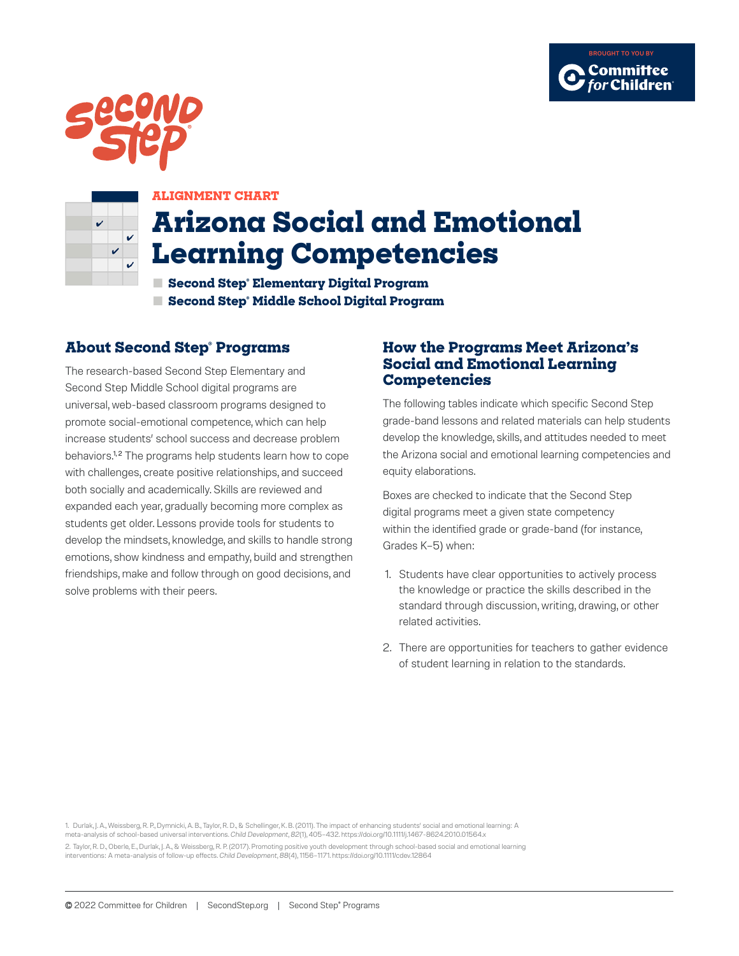





#### **ALIGNMENT CHART**

# **Arizona Social and Emotional Learning Competencies**

**■ Second Step® Elementary Digital Program ■ Second Step® Middle School Digital Program**

### **About Second Step® Programs**

The research-based Second Step Elementary and Second Step Middle School digital programs are universal, web-based classroom programs designed to promote social-emotional competence, which can help increase students' school success and decrease problem behaviors.<sup>1,2</sup> The programs help students learn how to cope with challenges, create positive relationships, and succeed both socially and academically. Skills are reviewed and expanded each year, gradually becoming more complex as students get older. Lessons provide tools for students to develop the mindsets, knowledge, and skills to handle strong emotions, show kindness and empathy, build and strengthen friendships, make and follow through on good decisions, and solve problems with their peers.

#### **How the Programs Meet Arizona's Social and Emotional Learning Competencies**

The following tables indicate which specific Second Step grade-band lessons and related materials can help students develop the knowledge, skills, and attitudes needed to meet the Arizona social and emotional learning competencies and equity elaborations.

Boxes are checked to indicate that the Second Step digital programs meet a given state competency within the identified grade or grade-band (for instance, Grades K–5) when:

- 1. Students have clear opportunities to actively process the knowledge or practice the skills described in the standard through discussion, writing, drawing, or other related activities.
- 2. There are opportunities for teachers to gather evidence of student learning in relation to the standards.

1. Durlak, J. A., Weissberg, R. P., Dymnicki, A. B., Taylor, R. D., & Schellinger, K. B. (2011). The impact of enhancing students' social and emotional learning: A meta-analysis of school-based universal interventions. *Child Development*, *82*(1), 405–432. https://doi.org/10.1111/j.1467-8624.2010.01564.x 2. Taylor, R. D., Oberle, E., Durlak, J. A., & Weissberg, R. P. (2017). Promoting positive youth development through school-based social and emotional learning interventions: A meta-analysis of follow-up effects. *Child Development*, *88*(4), 1156–1171. https://doi.org/10.1111/cdev.12864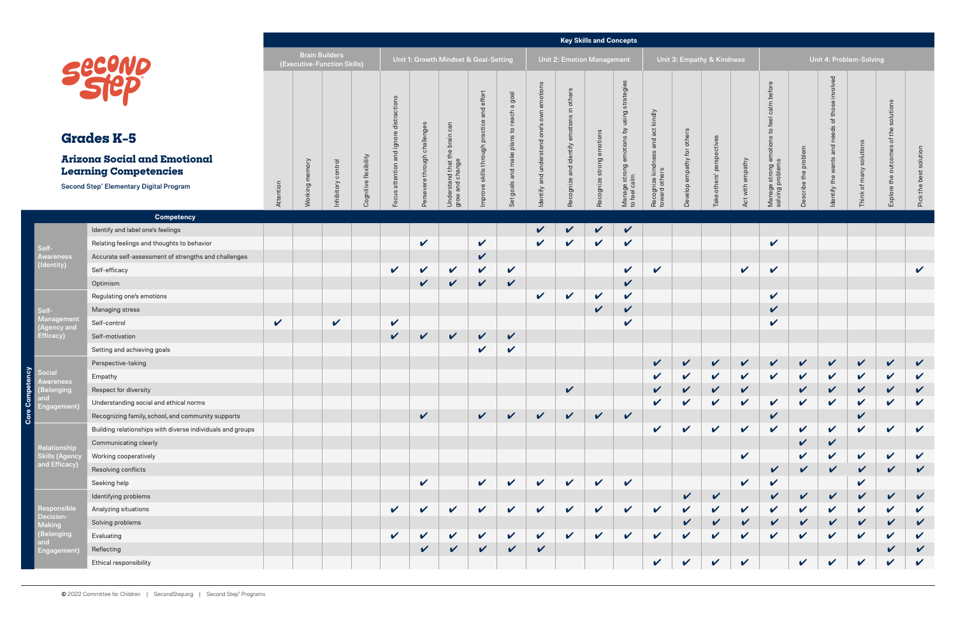ŏ

ñ

|                                                                     |                                                            |                            |                       |                                                      |             |                 |                     |                                       |                                               |                             |                                                 |                                                                      | <b>Key Skills and Concepts</b> |                                                                |                                     |                            |                            |                  |                                          |              |                            |                                       |                                        |                            |
|---------------------------------------------------------------------|------------------------------------------------------------|----------------------------|-----------------------|------------------------------------------------------|-------------|-----------------|---------------------|---------------------------------------|-----------------------------------------------|-----------------------------|-------------------------------------------------|----------------------------------------------------------------------|--------------------------------|----------------------------------------------------------------|-------------------------------------|----------------------------|----------------------------|------------------|------------------------------------------|--------------|----------------------------|---------------------------------------|----------------------------------------|----------------------------|
|                                                                     |                                                            |                            |                       | <b>Brain Builders</b><br>(Executive-Function Skills) |             |                 |                     | Unit 1: Growth Mindset & Goal-Setting |                                               |                             |                                                 |                                                                      | Unit 2: Emotion Management     |                                                                |                                     |                            | Unit 3: Empathy & Kindness |                  |                                          |              | Unit 4: Problem-Solving    |                                       |                                        |                            |
| <b>Grades K-5</b>                                                   |                                                            |                            |                       |                                                      |             | ctions<br>ignor | ě<br>through challe | brain<br>the                          | and effort<br>Improve skills through practice | a goal<br>등<br>plans to rea | emotions<br>own<br>dentify and understand one's | others<br>$\mathrel{\mathop:}=$<br>ဖ<br>motions<br>$\overline{\Phi}$ | Recognize strong emotions      | strategi<br>using<br>Manage strong emotions by<br>to feel calm | and act kindly                      | Develop empathy for others | ctiv                       |                  | before<br>calm<br>$\mathbf{c}$<br>motion |              | involved<br>and            | solutions                             | solutions<br>$\bullet$<br>£<br>'ŏ<br>S |                            |
| <b>Arizona Social and Emotional</b><br><b>Learning Competencies</b> |                                                            |                            |                       |                                                      | flexibility | and             |                     |                                       |                                               | make                        |                                                 | and identify                                                         |                                |                                                                |                                     |                            | Ō.                         |                  |                                          | problem      |                            |                                       | outcome                                |                            |
|                                                                     | <b>Second Step® Elementary Digital Program</b>             |                            |                       |                                                      |             | attention       | evere               | <b>and that that t</b><br>and change  |                                               | and                         |                                                 |                                                                      |                                |                                                                |                                     |                            | others'                    |                  |                                          | cribe the    |                            | many                                  |                                        |                            |
|                                                                     |                                                            | Attention                  | <b>Norking</b> memory | nhibitory control                                    | Cognitive   | ഗ<br>poo        |                     | Unde<br>grow                          |                                               | goals<br>Set                |                                                 | Recognize                                                            |                                |                                                                | Recognize kindness<br>toward others |                            | Take                       | Act with empathy | Manage strong en<br>solving problems     |              | dentify the wants          | $\overleftarrow{\mathrm{o}}$<br>Think | Explore the                            | Pick the best solution     |
|                                                                     | <b>Competency</b>                                          |                            |                       |                                                      |             |                 |                     |                                       |                                               |                             |                                                 |                                                                      |                                |                                                                |                                     |                            |                            |                  |                                          |              |                            |                                       |                                        |                            |
|                                                                     | Identify and label one's feelings                          |                            |                       |                                                      |             |                 |                     |                                       |                                               |                             | $\mathbf v$                                     | $\checkmark$                                                         | $\sqrt{2}$                     | $\checkmark$                                                   |                                     |                            |                            |                  |                                          |              |                            |                                       |                                        |                            |
| Self-                                                               | Relating feelings and thoughts to behavior                 |                            |                       |                                                      |             |                 | $\checkmark$        |                                       | $\checkmark$                                  |                             | $\mathbf{v}$                                    | $\checkmark$                                                         | $\checkmark$                   | $\mathbf v$                                                    |                                     |                            |                            |                  | $\checkmark$                             |              |                            |                                       |                                        |                            |
| Awareness<br>(Identity)                                             | Accurate self-assessment of strengths and challenges       |                            |                       |                                                      |             |                 |                     |                                       | $\checkmark$                                  |                             |                                                 |                                                                      |                                |                                                                |                                     |                            |                            |                  |                                          |              |                            |                                       |                                        |                            |
|                                                                     | Self-efficacy                                              |                            |                       |                                                      |             | $\checkmark$    | $\mathbf v$         | $\checkmark$                          | $\checkmark$                                  | $\checkmark$                |                                                 |                                                                      |                                | $\mathbf v$                                                    | $\mathbf{v}$                        |                            |                            | $\mathbf{v}$     | $\checkmark$                             |              |                            |                                       |                                        | $\mathbf v$                |
|                                                                     | Optimism                                                   |                            |                       |                                                      |             |                 | $\checkmark$        | $\checkmark$                          | $\checkmark$                                  | $\checkmark$                |                                                 |                                                                      |                                | $\checkmark$                                                   |                                     |                            |                            |                  |                                          |              |                            |                                       |                                        |                            |
|                                                                     | Regulating one's emotions                                  |                            |                       |                                                      |             |                 |                     |                                       |                                               |                             | $\checkmark$                                    | $\checkmark$                                                         | $\checkmark$                   | $\checkmark$                                                   |                                     |                            |                            |                  | $\mathbf v$                              |              |                            |                                       |                                        |                            |
| Self-                                                               | Managing stress                                            |                            |                       |                                                      |             |                 |                     |                                       |                                               |                             |                                                 |                                                                      | $\checkmark$                   | $\checkmark$                                                   |                                     |                            |                            |                  | $\checkmark$                             |              |                            |                                       |                                        |                            |
| Management<br>(Agency and                                           | Self-control                                               | $\boldsymbol{\mathcal{U}}$ |                       | $\checkmark$                                         |             | $\checkmark$    |                     |                                       |                                               |                             |                                                 |                                                                      |                                | $\checkmark$                                                   |                                     |                            |                            |                  | $\checkmark$                             |              |                            |                                       |                                        |                            |
| Efficacy)                                                           | Self-motivation                                            |                            |                       |                                                      |             | $\checkmark$    | $\checkmark$        | $\checkmark$                          | $\checkmark$                                  | $\checkmark$                |                                                 |                                                                      |                                |                                                                |                                     |                            |                            |                  |                                          |              |                            |                                       |                                        |                            |
|                                                                     | Setting and achieving goals                                |                            |                       |                                                      |             |                 |                     |                                       | $\checkmark$                                  | $\checkmark$                |                                                 |                                                                      |                                |                                                                |                                     |                            |                            |                  |                                          |              |                            |                                       |                                        |                            |
|                                                                     | Perspective-taking                                         |                            |                       |                                                      |             |                 |                     |                                       |                                               |                             |                                                 |                                                                      |                                |                                                                | $\checkmark$                        | $\checkmark$               | $\sqrt{2}$                 | $\checkmark$     | $\checkmark$                             | $\mathbf{v}$ | $\sqrt{2}$                 | $\checkmark$                          | $\checkmark$                           | $\checkmark$               |
| Social                                                              | Empathy                                                    |                            |                       |                                                      |             |                 |                     |                                       |                                               |                             |                                                 |                                                                      |                                |                                                                | $\checkmark$                        | $\checkmark$               | $\checkmark$               | $\checkmark$     | $\checkmark$                             | $\checkmark$ | $\checkmark$               | $\checkmark$                          | $\checkmark$                           | $\checkmark$               |
| (Belonging                                                          | Respect for diversity                                      |                            |                       |                                                      |             |                 |                     |                                       |                                               |                             |                                                 | $\checkmark$                                                         |                                |                                                                |                                     |                            |                            | $\checkmark$     |                                          |              |                            |                                       |                                        |                            |
| and<br>Engagement)                                                  | Understanding social and ethical norms                     |                            |                       |                                                      |             |                 |                     |                                       |                                               |                             |                                                 |                                                                      |                                |                                                                | $\checkmark$                        | V                          | $\checkmark$               | $\checkmark$     | $\mathbf v$                              | $\checkmark$ | $\mathbf v$                | $\checkmark$                          | $\checkmark$                           | $\boldsymbol{\mathcal{U}}$ |
|                                                                     | Recognizing family, school, and community supports         |                            |                       |                                                      |             |                 | $\checkmark$        |                                       | $\checkmark$                                  | $\checkmark$                | $\checkmark$                                    | $\checkmark$                                                         | $\checkmark$                   | $\checkmark$                                                   |                                     |                            |                            |                  | $\checkmark$                             |              |                            | $\checkmark$                          |                                        |                            |
|                                                                     | Building relationships with diverse individuals and groups |                            |                       |                                                      |             |                 |                     |                                       |                                               |                             |                                                 |                                                                      |                                |                                                                | $\checkmark$                        | $\checkmark$               | $\mathbf v$                | $\checkmark$     | $\mathbf v$                              | $\mathbf v$  | $\boldsymbol{\mathcal{U}}$ | $\boldsymbol{\mathcal{U}}$            | $\mathbf v$                            | $\checkmark$               |
| Relationship                                                        | Communicating clearly                                      |                            |                       |                                                      |             |                 |                     |                                       |                                               |                             |                                                 |                                                                      |                                |                                                                |                                     |                            |                            |                  |                                          | V            | $\checkmark$               |                                       |                                        |                            |
| Skills (Agenc)                                                      | Working cooperatively                                      |                            |                       |                                                      |             |                 |                     |                                       |                                               |                             |                                                 |                                                                      |                                |                                                                |                                     |                            |                            | $\checkmark$     |                                          | V            | $\mathbf v$                | $\checkmark$                          | $\checkmark$                           | $\checkmark$               |
| and Efficacy)                                                       | Resolving conflicts                                        |                            |                       |                                                      |             |                 |                     |                                       |                                               |                             |                                                 |                                                                      |                                |                                                                |                                     |                            |                            |                  | $\checkmark$                             | V            | $\checkmark$               | V                                     | $\checkmark$                           | $\checkmark$               |
|                                                                     | Seeking help                                               |                            |                       |                                                      |             |                 | $\checkmark$        |                                       | $\checkmark$                                  | $\checkmark$                | $\checkmark$                                    | $\mathbf v$                                                          | $\checkmark$                   | $\checkmark$                                                   |                                     |                            |                            | $\checkmark$     | $\checkmark$                             |              |                            | $\checkmark$                          |                                        |                            |
|                                                                     | Identifying problems                                       |                            |                       |                                                      |             |                 |                     |                                       |                                               |                             |                                                 |                                                                      |                                |                                                                |                                     | $\checkmark$               | $\checkmark$               |                  | $\checkmark$                             | V            | $\checkmark$               | V                                     | $\mathbf v$                            | $\boldsymbol{\mathcal{U}}$ |
| Responsible<br>Decision-                                            | Analyzing situations                                       |                            |                       |                                                      |             | $\checkmark$    | $\checkmark$        | $\checkmark$                          | $\checkmark$                                  | $\checkmark$                | $\checkmark$                                    | $\mathbf v$                                                          | $\checkmark$                   | $\checkmark$                                                   | $\checkmark$                        | $\checkmark$               | $\checkmark$               | $\checkmark$     | $\checkmark$                             | $\checkmark$ | $\checkmark$               | $\checkmark$                          | $\checkmark$                           |                            |
| Making                                                              | Solving problems                                           |                            |                       |                                                      |             |                 |                     |                                       |                                               |                             |                                                 |                                                                      |                                |                                                                |                                     | $\checkmark$               | V                          | $\checkmark$     | $\checkmark$                             | $\checkmark$ | V                          | V                                     | V                                      |                            |
| (Belonging<br>and<br>Engagement)                                    | Evaluating                                                 |                            |                       |                                                      |             | $\checkmark$    | $\checkmark$        | $\checkmark$                          | $\checkmark$                                  | $\checkmark$                | $\checkmark$                                    | $\checkmark$                                                         | $\checkmark$                   | $\checkmark$                                                   | $\checkmark$                        | $\checkmark$               | V                          | $\checkmark$     | V                                        | V            | $\checkmark$               | $\boldsymbol{\mathcal{U}}$            | $\checkmark$                           | V                          |
|                                                                     | Reflecting                                                 |                            |                       |                                                      |             |                 | $\checkmark$        | $\checkmark$                          | $\checkmark$                                  | $\checkmark$                | $\checkmark$                                    |                                                                      |                                |                                                                |                                     |                            |                            |                  |                                          |              |                            |                                       |                                        | $\mathbf v$                |
|                                                                     | Ethical responsibility                                     |                            |                       |                                                      |             |                 |                     |                                       |                                               |                             |                                                 |                                                                      |                                |                                                                | $\checkmark$                        | $\mathbf v$                | $\checkmark$               | $\checkmark$     |                                          | $\checkmark$ | $\checkmark$               | $\checkmark$                          | $\checkmark$                           | $\checkmark$               |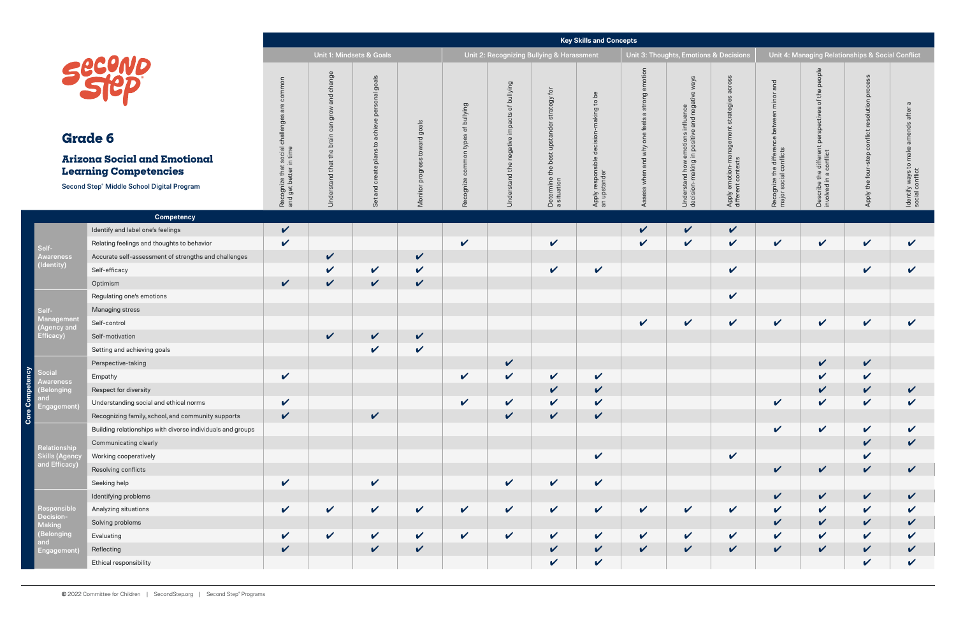| ons & Decisions                                                  |                                                                      | Unit 4: Managing Relationships & Social Conflict                            |                                                 |                                                         |
|------------------------------------------------------------------|----------------------------------------------------------------------|-----------------------------------------------------------------------------|-------------------------------------------------|---------------------------------------------------------|
| Apply emotion-management strategies across<br>different contexts | Recognize the difference between minor and<br>major social conflicts | Describe the different perspectives of the people<br>involved in a conflict | Apply the four-step conflict resolution process | Identify ways to make amends after a<br>social conflict |
|                                                                  |                                                                      |                                                                             |                                                 |                                                         |
| $\frac{1}{2}$                                                    |                                                                      |                                                                             |                                                 |                                                         |
|                                                                  |                                                                      |                                                                             |                                                 |                                                         |
| $\checkmark$                                                     |                                                                      |                                                                             |                                                 |                                                         |
|                                                                  |                                                                      |                                                                             |                                                 |                                                         |
| $\checkmark$                                                     |                                                                      |                                                                             |                                                 |                                                         |
|                                                                  |                                                                      |                                                                             |                                                 |                                                         |
|                                                                  |                                                                      |                                                                             |                                                 |                                                         |
|                                                                  |                                                                      | $\zeta$                                                                     | <<<                                             |                                                         |
|                                                                  |                                                                      |                                                                             |                                                 |                                                         |
|                                                                  |                                                                      |                                                                             |                                                 |                                                         |
|                                                                  |                                                                      |                                                                             |                                                 |                                                         |
|                                                                  | V                                                                    | V                                                                           | V                                               | V                                                       |
|                                                                  |                                                                      |                                                                             | $\checkmark$                                    | $\checkmark$                                            |
| V                                                                |                                                                      |                                                                             | $\checkmark$                                    |                                                         |
|                                                                  | V                                                                    | V                                                                           | $\mathbf v$                                     | V                                                       |
|                                                                  | V                                                                    | V                                                                           | V                                               | V                                                       |
| $\checkmark$                                                     | $\mathbf v$                                                          | $\mathbf v$                                                                 | $\checkmark$                                    | $\checkmark$                                            |
|                                                                  | $\checkmark$                                                         | $\mathbf v$                                                                 | $\checkmark$                                    | $\checkmark$                                            |
| V                                                                | V                                                                    | $\checkmark$                                                                | V                                               | $\checkmark$                                            |
| $\checkmark$                                                     | $\mathbf v$                                                          | $\mathbf v$                                                                 | $\checkmark$                                    | $\checkmark$                                            |
|                                                                  |                                                                      |                                                                             | $\checkmark$                                    | $\checkmark$                                            |

**Core Competency**

Ō

ñ

|                                                                                                                                                            |                                                            |                                                                        |                                                                                        |                                                                                                                    |                                                 |                                                                                       |                                                                       |                                                                        | <b>Key Skills and Concepts</b>                                  |                                                                                        |                                                                                                                             |                                                                                             |                                                                                                                      |                                                                                                                                                                                         |                                                                                                 |                                                                                   |  |  |
|------------------------------------------------------------------------------------------------------------------------------------------------------------|------------------------------------------------------------|------------------------------------------------------------------------|----------------------------------------------------------------------------------------|--------------------------------------------------------------------------------------------------------------------|-------------------------------------------------|---------------------------------------------------------------------------------------|-----------------------------------------------------------------------|------------------------------------------------------------------------|-----------------------------------------------------------------|----------------------------------------------------------------------------------------|-----------------------------------------------------------------------------------------------------------------------------|---------------------------------------------------------------------------------------------|----------------------------------------------------------------------------------------------------------------------|-----------------------------------------------------------------------------------------------------------------------------------------------------------------------------------------|-------------------------------------------------------------------------------------------------|-----------------------------------------------------------------------------------|--|--|
|                                                                                                                                                            |                                                            |                                                                        | Unit 1: Mindsets & Goals                                                               |                                                                                                                    |                                                 |                                                                                       |                                                                       | Unit 2: Recognizing Bullying & Harassment                              |                                                                 |                                                                                        | Unit 3: Thoughts, Emotions & Decisions                                                                                      |                                                                                             |                                                                                                                      | Unit 4: Managing Relationships & Social Conflict                                                                                                                                        |                                                                                                 |                                                                                   |  |  |
| Securio<br><b>Grade 6</b><br><b>Arizona Social and Emotional</b><br><b>Learning Competencies</b><br>Second Step <sup>®</sup> Middle School Digital Program |                                                            | common<br>ğ<br>chal<br>Recognize that social<br>and get better in time | change<br>and<br>grow<br>$\subset$<br>ී<br>$\subseteq$<br>ä<br>stand that the<br>Under | goals<br>onal<br>per<br>$\circ$<br>chie<br>$\mathbf{c}$<br>ഇ<br>$\frac{a}{b}$<br>ate<br>১<br>$\overline{2}$<br>Set | goals<br>$\sigma$<br>tow<br>ທ<br>progr<br>Monit | bullying<br>৳<br>$\omega$<br>type<br>ommo<br>$\circ$<br>$\omega$<br>ingoo<br><b>Q</b> | bullying<br>$\rm 5$<br>cts<br>impa<br>negative i<br>the<br>Understand | đ<br>strategy<br>upst<br>$\Omega$<br>the<br>Determine t<br>a situation | $b$ ed<br>$\mathtt{S}$<br>king<br>Apply respons<br>an upstander | emotion<br>strong<br>$\sigma$<br>$rac{1}{\theta}$<br>⊕<br>$\mathbb O$<br>δ<br>why<br>ᅙ | ways<br>ance<br>nega<br>and<br>notions<br>positiv<br>$\Xi$ . $\bar{\Xi}$<br>rstand how e<br>ion-making i<br>Under<br>decisi | <b>OSS</b><br>ၯ<br>tegies<br>ဥ္ပာ<br>-ma<br>emotion-ma<br>ant contexts<br>Apply<br>differer | and<br>minor<br>$\subset$<br>betwe<br>$\mathbf \Phi$<br>gnize the differenc<br>social conflicts<br>Recogn<br>major s | ople<br>$\circ$<br>$\Omega$<br>$\omega$<br>눈<br>$\overline{\phantom{0}}$<br>aifferen<br>conflict<br>diff.<br>$\omega$<br>$\sigma$<br>문<br>$\equiv$<br>$\circ$<br>Describe<br>involved i | proces<br>ucity<br>$\overline{\circ}$<br>ၑ<br>conflict<br>$\Omega$<br>stej<br>four<br>Apply the | $\sigma$<br>after<br>ဖ<br>amends<br>make<br>Identify ways to r<br>social conflict |  |  |
|                                                                                                                                                            | <b>Competency</b>                                          |                                                                        |                                                                                        |                                                                                                                    |                                                 |                                                                                       |                                                                       |                                                                        |                                                                 |                                                                                        |                                                                                                                             |                                                                                             |                                                                                                                      |                                                                                                                                                                                         |                                                                                                 |                                                                                   |  |  |
|                                                                                                                                                            | Identify and label one's feelings                          | $\checkmark$                                                           |                                                                                        |                                                                                                                    |                                                 |                                                                                       |                                                                       |                                                                        |                                                                 | $\checkmark$                                                                           | $\checkmark$                                                                                                                | $\checkmark$                                                                                |                                                                                                                      |                                                                                                                                                                                         |                                                                                                 |                                                                                   |  |  |
| Self-<br><b>Awareness</b><br>(Identity)                                                                                                                    | Relating feelings and thoughts to behavior                 | $\checkmark$                                                           |                                                                                        |                                                                                                                    |                                                 | $\checkmark$                                                                          |                                                                       | $\checkmark$                                                           |                                                                 | $\checkmark$                                                                           | $\checkmark$                                                                                                                | $\checkmark$                                                                                | $\checkmark$                                                                                                         | $\checkmark$                                                                                                                                                                            | $\checkmark$                                                                                    | $\checkmark$                                                                      |  |  |
|                                                                                                                                                            | Accurate self-assessment of strengths and challenges       |                                                                        | $\checkmark$                                                                           |                                                                                                                    | $\checkmark$                                    |                                                                                       |                                                                       |                                                                        |                                                                 |                                                                                        |                                                                                                                             |                                                                                             |                                                                                                                      |                                                                                                                                                                                         |                                                                                                 |                                                                                   |  |  |
|                                                                                                                                                            | Self-efficacy                                              |                                                                        | $\checkmark$                                                                           | $\checkmark$                                                                                                       | $\checkmark$                                    |                                                                                       |                                                                       | $\checkmark$                                                           | $\sqrt{2}$                                                      |                                                                                        |                                                                                                                             | $\checkmark$                                                                                |                                                                                                                      |                                                                                                                                                                                         | $\mathbf v$                                                                                     | $\checkmark$                                                                      |  |  |
|                                                                                                                                                            | Optimism                                                   | $\checkmark$                                                           | $\checkmark$                                                                           | $\checkmark$                                                                                                       | $\checkmark$                                    |                                                                                       |                                                                       |                                                                        |                                                                 |                                                                                        |                                                                                                                             |                                                                                             |                                                                                                                      |                                                                                                                                                                                         |                                                                                                 |                                                                                   |  |  |
| Self-                                                                                                                                                      | Regulating one's emotions                                  |                                                                        |                                                                                        |                                                                                                                    |                                                 |                                                                                       |                                                                       |                                                                        |                                                                 |                                                                                        |                                                                                                                             | $\checkmark$                                                                                |                                                                                                                      |                                                                                                                                                                                         |                                                                                                 |                                                                                   |  |  |
|                                                                                                                                                            | Managing stress                                            |                                                                        |                                                                                        |                                                                                                                    |                                                 |                                                                                       |                                                                       |                                                                        |                                                                 |                                                                                        |                                                                                                                             |                                                                                             |                                                                                                                      |                                                                                                                                                                                         |                                                                                                 |                                                                                   |  |  |
| Management<br>(Agency and                                                                                                                                  | Self-control                                               |                                                                        |                                                                                        |                                                                                                                    |                                                 |                                                                                       |                                                                       |                                                                        |                                                                 | $\checkmark$                                                                           | $\checkmark$                                                                                                                | $\checkmark$                                                                                | $\checkmark$                                                                                                         | $\checkmark$                                                                                                                                                                            | $\checkmark$                                                                                    | $\checkmark$                                                                      |  |  |
| Efficacy)                                                                                                                                                  | Self-motivation                                            |                                                                        | $\checkmark$                                                                           | $\checkmark$                                                                                                       | $\mathbf v$                                     |                                                                                       |                                                                       |                                                                        |                                                                 |                                                                                        |                                                                                                                             |                                                                                             |                                                                                                                      |                                                                                                                                                                                         |                                                                                                 |                                                                                   |  |  |
|                                                                                                                                                            | Setting and achieving goals                                |                                                                        |                                                                                        | $\checkmark$                                                                                                       | $\checkmark$                                    |                                                                                       |                                                                       |                                                                        |                                                                 |                                                                                        |                                                                                                                             |                                                                                             |                                                                                                                      |                                                                                                                                                                                         |                                                                                                 |                                                                                   |  |  |
|                                                                                                                                                            | Perspective-taking                                         |                                                                        |                                                                                        |                                                                                                                    |                                                 |                                                                                       | V                                                                     |                                                                        |                                                                 |                                                                                        |                                                                                                                             |                                                                                             |                                                                                                                      | $\checkmark$                                                                                                                                                                            | $\boldsymbol{\mathcal{C}}$                                                                      |                                                                                   |  |  |
| Social<br>Awareness                                                                                                                                        | Empathy                                                    | $\checkmark$                                                           |                                                                                        |                                                                                                                    |                                                 | $\checkmark$                                                                          | $\checkmark$                                                          | V                                                                      | $\checkmark$                                                    |                                                                                        |                                                                                                                             |                                                                                             |                                                                                                                      | $\checkmark$                                                                                                                                                                            | $\checkmark$                                                                                    |                                                                                   |  |  |
| (Belonging                                                                                                                                                 | Respect for diversity                                      |                                                                        |                                                                                        |                                                                                                                    |                                                 |                                                                                       |                                                                       | $\checkmark$                                                           | $\checkmark$                                                    |                                                                                        |                                                                                                                             |                                                                                             |                                                                                                                      | $\checkmark$                                                                                                                                                                            | V                                                                                               |                                                                                   |  |  |
| and<br>Engagement)                                                                                                                                         | Understanding social and ethical norms                     | $\checkmark$                                                           |                                                                                        |                                                                                                                    |                                                 | $\checkmark$                                                                          | V                                                                     | $\checkmark$                                                           | $\checkmark$                                                    |                                                                                        |                                                                                                                             |                                                                                             | $\checkmark$                                                                                                         | $\boldsymbol{\mathcal{U}}$                                                                                                                                                              | $\checkmark$                                                                                    | V                                                                                 |  |  |
|                                                                                                                                                            | Recognizing family, school, and community supports         | $\checkmark$                                                           |                                                                                        | $\checkmark$                                                                                                       |                                                 |                                                                                       | V                                                                     | $\checkmark$                                                           | $\checkmark$                                                    |                                                                                        |                                                                                                                             |                                                                                             |                                                                                                                      |                                                                                                                                                                                         |                                                                                                 |                                                                                   |  |  |
|                                                                                                                                                            | Building relationships with diverse individuals and groups |                                                                        |                                                                                        |                                                                                                                    |                                                 |                                                                                       |                                                                       |                                                                        |                                                                 |                                                                                        |                                                                                                                             |                                                                                             | $\checkmark$                                                                                                         | $\checkmark$                                                                                                                                                                            | $\mathbf v$                                                                                     | V                                                                                 |  |  |
| Relationship                                                                                                                                               | Communicating clearly                                      |                                                                        |                                                                                        |                                                                                                                    |                                                 |                                                                                       |                                                                       |                                                                        |                                                                 |                                                                                        |                                                                                                                             |                                                                                             |                                                                                                                      |                                                                                                                                                                                         | $\checkmark$                                                                                    | $\checkmark$                                                                      |  |  |
| <b>Skills (Agency</b>                                                                                                                                      | Working cooperatively                                      |                                                                        |                                                                                        |                                                                                                                    |                                                 |                                                                                       |                                                                       |                                                                        | $\boldsymbol{\mathcal{U}}$                                      |                                                                                        |                                                                                                                             | $\checkmark$                                                                                |                                                                                                                      |                                                                                                                                                                                         | $\checkmark$                                                                                    |                                                                                   |  |  |
| and Efficacy)                                                                                                                                              | Resolving conflicts                                        |                                                                        |                                                                                        |                                                                                                                    |                                                 |                                                                                       |                                                                       |                                                                        |                                                                 |                                                                                        |                                                                                                                             |                                                                                             | $\checkmark$                                                                                                         | $\checkmark$                                                                                                                                                                            | $\checkmark$                                                                                    | $\checkmark$                                                                      |  |  |
|                                                                                                                                                            | Seeking help                                               | $\checkmark$                                                           |                                                                                        | $\checkmark$                                                                                                       |                                                 |                                                                                       | V                                                                     | $\sqrt{2}$                                                             | $\checkmark$                                                    |                                                                                        |                                                                                                                             |                                                                                             |                                                                                                                      |                                                                                                                                                                                         |                                                                                                 |                                                                                   |  |  |
|                                                                                                                                                            | Identifying problems                                       |                                                                        |                                                                                        |                                                                                                                    |                                                 |                                                                                       |                                                                       |                                                                        |                                                                 |                                                                                        |                                                                                                                             |                                                                                             | $\mathbf v$                                                                                                          | $\mathbf v$                                                                                                                                                                             | $\vee$                                                                                          | $\checkmark$                                                                      |  |  |
| Responsible                                                                                                                                                | Analyzing situations                                       | $\checkmark$                                                           | $\mathbf v$                                                                            | $\sqrt{2}$                                                                                                         | $\checkmark$                                    | $\checkmark$                                                                          | V                                                                     | $\mathbf{v}$                                                           | $\checkmark$                                                    | $\mathbf v$                                                                            | $\checkmark$                                                                                                                | $\checkmark$                                                                                | $\checkmark$                                                                                                         | $\checkmark$                                                                                                                                                                            | $\checkmark$                                                                                    | $\checkmark$                                                                      |  |  |
| Decision-<br><b>Making</b>                                                                                                                                 | Solving problems                                           |                                                                        |                                                                                        |                                                                                                                    |                                                 |                                                                                       |                                                                       |                                                                        |                                                                 |                                                                                        |                                                                                                                             |                                                                                             | $\boldsymbol{\mathcal{U}}$                                                                                           | $\checkmark$                                                                                                                                                                            | $\boldsymbol{\mathcal{C}}$                                                                      | $\checkmark$                                                                      |  |  |
| (Belonging                                                                                                                                                 | Evaluating                                                 | V                                                                      | $\checkmark$                                                                           | $\checkmark$                                                                                                       | $\mathbf v$                                     | $\checkmark$                                                                          | V                                                                     | $\checkmark$                                                           | $\checkmark$                                                    | $\checkmark$                                                                           | $\checkmark$                                                                                                                | $\checkmark$                                                                                | $\checkmark$                                                                                                         | $\checkmark$                                                                                                                                                                            | $\checkmark$                                                                                    | $\checkmark$                                                                      |  |  |
| and<br>Engagement)                                                                                                                                         | Reflecting                                                 | $\checkmark$                                                           |                                                                                        | $\checkmark$                                                                                                       | $\checkmark$                                    |                                                                                       |                                                                       | $\mathbf v$                                                            | $\checkmark$                                                    | $\checkmark$                                                                           | $\checkmark$                                                                                                                | $\checkmark$                                                                                | $\checkmark$                                                                                                         | $\checkmark$                                                                                                                                                                            | $\checkmark$                                                                                    | V                                                                                 |  |  |
|                                                                                                                                                            | Ethical responsibility                                     |                                                                        |                                                                                        |                                                                                                                    |                                                 |                                                                                       |                                                                       | $\checkmark$                                                           | $\checkmark$                                                    |                                                                                        |                                                                                                                             |                                                                                             |                                                                                                                      |                                                                                                                                                                                         | $\checkmark$                                                                                    | $\checkmark$                                                                      |  |  |